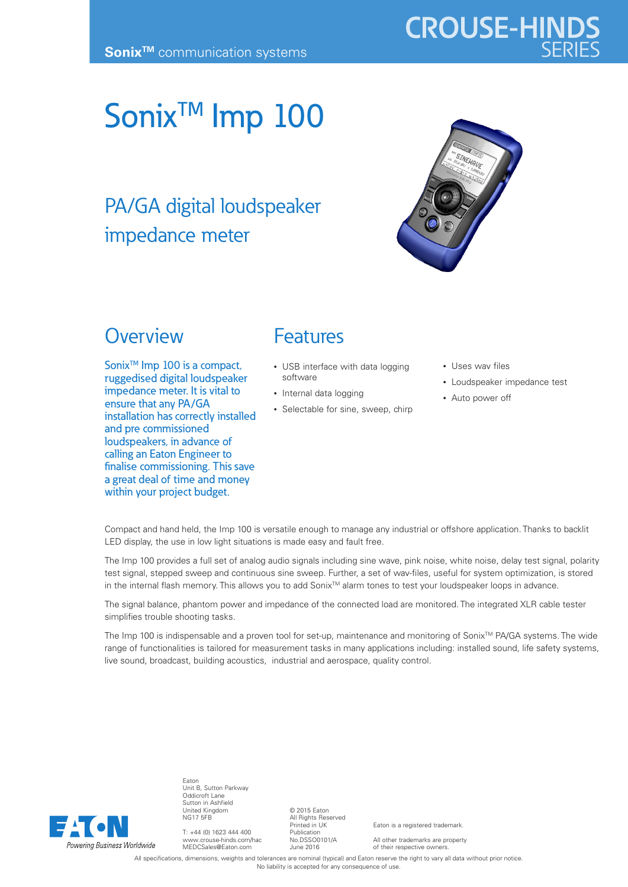# **CROUSE-HINDS**

## Sonix<sup>™</sup> Imp 100

### PA/GA digital loudspeaker impedance meter



#### **Overview**

Sonix<sup>™</sup> Imp 100 is a compact, ruggedised digital loudspeaker impedance meter. It is vital to ensure that any PA/GA installation has correctly installed and pre commissioned loudspeakers, in advance of calling an Eaton Engineer to finalise commissioning. This save a great deal of time and money within your project budget.

#### Features

- USB interface with data logging software
- Internal data logging
- Selectable for sine, sweep, chirp
- Uses wav files
- Loudspeaker impedance test
- Auto power off

Compact and hand held, the Imp 100 is versatile enough to manage any industrial or offshore application. Thanks to backlit LED display, the use in low light situations is made easy and fault free.

The Imp 100 provides a full set of analog audio signals including sine wave, pink noise, white noise, delay test signal, polarity test signal, stepped sweep and continuous sine sweep. Further, a set of wav-files, useful for system optimization, is stored in the internal flash memory. This allows you to add Sonix™ alarm tones to test your loudspeaker loops in advance.

The signal balance, phantom power and impedance of the connected load are monitored. The integrated XLR cable tester simplifies trouble shooting tasks.

The Imp 100 is indispensable and a proven tool for set-up, maintenance and monitoring of Sonix™ PA/GA systems. The wide range of functionalities is tailored for measurement tasks in many applications including: installed sound, life safety systems, live sound, broadcast, building acoustics, industrial and aerospace, quality control.



Eaton Unit B, Sutton Parkway Oddicroft Lane Sutton in Ashfield United Kingdom NG17 5FB

T: +44 (0) 1623 444 400 www.crouse-hinds.com/hac MEDCSales@Eaton.com

© 2015 Eaton All Rights Reserved Printed in UK Publication No.DSSO0101/A June 2016

Eaton is a registered trademark.

All other trademarks are property of their respective owners.

All specifications, dimensions, weights and tolerances are nominal (typical) and Eaton reserve the right to vary all data without prior notice. No liability is accepted for any consequence of use.